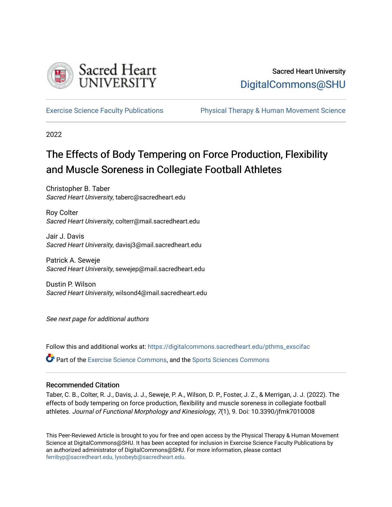

# Sacred Heart University [DigitalCommons@SHU](https://digitalcommons.sacredheart.edu/)

[Exercise Science Faculty Publications](https://digitalcommons.sacredheart.edu/pthms_exscifac) [Physical Therapy & Human Movement Science](https://digitalcommons.sacredheart.edu/pthms) 

2022

# The Effects of Body Tempering on Force Production, Flexibility and Muscle Soreness in Collegiate Football Athletes

Christopher B. Taber Sacred Heart University, taberc@sacredheart.edu

Roy Colter Sacred Heart University, colterr@mail.sacredheart.edu

Jair J. Davis Sacred Heart University, davisj3@mail.sacredheart.edu

Patrick A. Seweje Sacred Heart University, sewejep@mail.sacredheart.edu

Dustin P. Wilson Sacred Heart University, wilsond4@mail.sacredheart.edu

See next page for additional authors

Follow this and additional works at: [https://digitalcommons.sacredheart.edu/pthms\\_exscifac](https://digitalcommons.sacredheart.edu/pthms_exscifac?utm_source=digitalcommons.sacredheart.edu%2Fpthms_exscifac%2F68&utm_medium=PDF&utm_campaign=PDFCoverPages)

**Part of the [Exercise Science Commons](http://network.bepress.com/hgg/discipline/1091?utm_source=digitalcommons.sacredheart.edu%2Fpthms_exscifac%2F68&utm_medium=PDF&utm_campaign=PDFCoverPages), and the Sports Sciences Commons** 

## Recommended Citation

Taber, C. B., Colter, R. J., Davis, J. J., Seweje, P. A., Wilson, D. P., Foster, J. Z., & Merrigan, J. J. (2022). The effects of body tempering on force production, flexibility and muscle soreness in collegiate football athletes. Journal of Functional Morphology and Kinesiology, 7(1), 9. Doi: 10.3390/jfmk7010008

This Peer-Reviewed Article is brought to you for free and open access by the Physical Therapy & Human Movement Science at DigitalCommons@SHU. It has been accepted for inclusion in Exercise Science Faculty Publications by an authorized administrator of DigitalCommons@SHU. For more information, please contact [ferribyp@sacredheart.edu, lysobeyb@sacredheart.edu.](mailto:ferribyp@sacredheart.edu,%20lysobeyb@sacredheart.edu)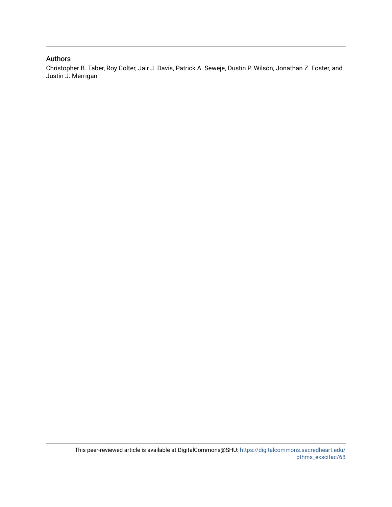### Authors

Christopher B. Taber, Roy Colter, Jair J. Davis, Patrick A. Seweje, Dustin P. Wilson, Jonathan Z. Foster, and Justin J. Merrigan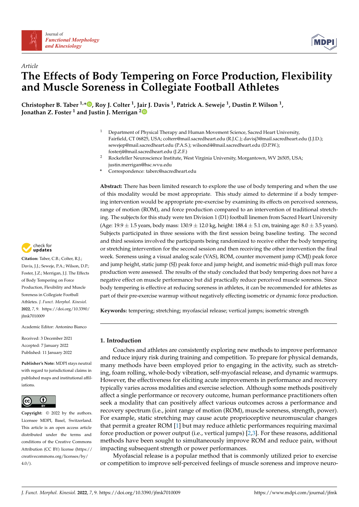



## *Article* **The Effects of Body Tempering on Force Production, Flexibility and Muscle Soreness in Collegiate Football Athletes**

**Christopher B. Taber 1,\* [,](https://orcid.org/0000-0002-2446-311X) Roy J. Colter <sup>1</sup> , Jair J. Davis <sup>1</sup> , Patrick A. Seweje <sup>1</sup> , Dustin P. Wilson <sup>1</sup> , Jonathan Z. Foster <sup>1</sup> and Justin J. Merrigan [2](https://orcid.org/0000-0001-5117-2388)**

- <sup>1</sup> Department of Physical Therapy and Human Movement Science, Sacred Heart University, Fairfield, CT 06825, USA; colterr@mail.sacredheart.edu (R.J.C.); davisj3@mail.sacredheart.edu (J.J.D.); sewejep@mail.sacredheart.edu (P.A.S.); wilsond4@mail.sacredheart.edu (D.P.W.); fosterj4@mail.sacredheart.edu (J.Z.F.)
- <sup>2</sup> Rockefeller Neuroscience Institute, West Virginia University, Morgantown, WV 26505, USA; justin.merrigan@hsc.wvu.edu
- **\*** Correspondence: taberc@sacredheart.edu

**Abstract:** There has been limited research to explore the use of body tempering and when the use of this modality would be most appropriate. This study aimed to determine if a body tempering intervention would be appropriate pre-exercise by examining its effects on perceived soreness, range of motion (ROM), and force production compared to an intervention of traditional stretching. The subjects for this study were ten Division 1 (D1) football linemen from Sacred Heart University (Age:  $19.9 \pm 1.5$  years, body mass:  $130.9 \pm 12.0$  kg, height:  $188.4 \pm 5.1$  cm, training age:  $8.0 \pm 3.5$  years). Subjects participated in three sessions with the first session being baseline testing. The second and third sessions involved the participants being randomized to receive either the body tempering or stretching intervention for the second session and then receiving the other intervention the final week. Soreness using a visual analog scale (VAS), ROM, counter movement jump (CMJ) peak force and jump height, static jump (SJ) peak force and jump height, and isometric mid-thigh pull max force production were assessed. The results of the study concluded that body tempering does not have a negative effect on muscle performance but did practically reduce perceived muscle soreness. Since body tempering is effective at reducing soreness in athletes, it can be recommended for athletes as part of their pre-exercise warmup without negatively effecting isometric or dynamic force production.

**Keywords:** tempering; stretching; myofascial release; vertical jumps; isometric strength

#### **1. Introduction**

Coaches and athletes are consistently exploring new methods to improve performance and reduce injury risk during training and competition. To prepare for physical demands, many methods have been employed prior to engaging in the activity, such as stretching, foam rolling, whole-body vibration, self-myofascial release, and dynamic warmups. However, the effectiveness for eliciting acute improvements in performance and recovery typically varies across modalities and exercise selection. Although some methods positively affect a single performance or recovery outcome, human performance practitioners often seek a modality that can positively affect various outcomes across a performance and recovery spectrum (i.e., joint range of motion (ROM), muscle soreness, strength, power). For example, static stretching may cause acute proprioceptive neuromuscular changes that permit a greater ROM [\[1\]](#page-9-0) but may reduce athletic performances requiring maximal force production or power output (i.e., vertical jumps) [\[2,](#page-9-1)[3\]](#page-9-2). For these reasons, additional methods have been sought to simultaneously improve ROM and reduce pain, without impacting subsequent strength or power performances.

Myofascial release is a popular method that is commonly utilized prior to exercise or competition to improve self-perceived feelings of muscle soreness and improve neuro-



**Citation:** Taber, C.B.; Colter, R.J.; Davis, J.J.; Seweje, P.A.; Wilson, D.P.; Foster, J.Z.; Merrigan, J.J. The Effects of Body Tempering on Force Production, Flexibility and Muscle Soreness in Collegiate Football Athletes. *J. Funct. Morphol. Kinesiol.* **2022**, *7*, 9. [https://doi.org/10.3390/](https://doi.org/10.3390/jfmk7010009) [jfmk7010009](https://doi.org/10.3390/jfmk7010009)

Academic Editor: Antonino Bianco

Received: 3 December 2021 Accepted: 7 January 2022 Published: 11 January 2022

**Publisher's Note:** MDPI stays neutral with regard to jurisdictional claims in published maps and institutional affiliations.



**Copyright:** © 2022 by the authors. Licensee MDPI, Basel, Switzerland. This article is an open access article distributed under the terms and conditions of the Creative Commons Attribution (CC BY) license [\(https://](https://creativecommons.org/licenses/by/4.0/) [creativecommons.org/licenses/by/](https://creativecommons.org/licenses/by/4.0/)  $4.0/$ ).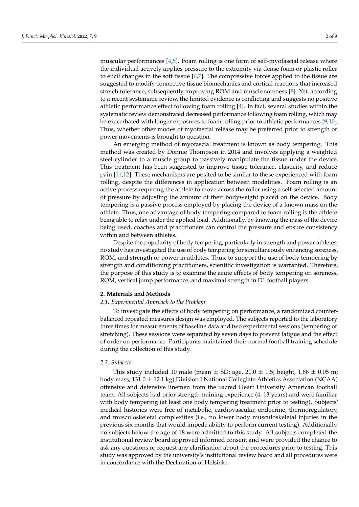muscular performances [\[4,](#page-9-3)[5\]](#page-9-4). Foam rolling is one form of self-myofascial release where the individual actively applies pressure to the extremity via dense foam or plastic roller to elicit changes in the soft tissue  $[6,7]$  $[6,7]$ . The compressive forces applied to the tissue are suggested to modify connective tissue biomechanics and cortical reactions that increased stretch tolerance, subsequently improving ROM and muscle soreness [\[8\]](#page-10-1). Yet, according to a recent systematic review, the limited evidence is conflicting and suggests no positive athletic performance effect following foam rolling [\[4\]](#page-9-3). In fact, several studies within the systematic review demonstrated decreased performance following foam rolling, which may be exacerbated with longer exposures to foam rolling prior to athletic performances [\[9](#page-10-2)[,10\]](#page-10-3). Thus, whether other modes of myofascial release may be preferred prior to strength or power movements is brought to question.

An emerging method of myofascial treatment is known as body tempering. This method was created by Donnie Thompson in 2014 and involves applying a weighted steel cylinder to a muscle group to passively manipulate the tissue under the device. This treatment has been suggested to improve tissue tolerance, elasticity, and reduce pain [\[11](#page-10-4)[,12\]](#page-10-5). These mechanisms are posited to be similar to those experienced with foam rolling, despite the differences in application between modalities. Foam rolling is an active process requiring the athlete to move across the roller using a self-selected amount of pressure by adjusting the amount of their bodyweight placed on the device. Body tempering is a passive process employed by placing the device of a known mass on the athlete. Thus, one advantage of body tempering compared to foam rolling is the athlete being able to relax under the applied load. Additionally, by knowing the mass of the device being used, coaches and practitioners can control the pressure and ensure consistency within and between athletes.

Despite the popularity of body tempering, particularly in strength and power athletes, no study has investigated the use of body tempering for simultaneously enhancing soreness, ROM, and strength or power in athletes. Thus, to support the use of body tempering by strength and conditioning practitioners, scientific investigation is warranted. Therefore, the purpose of this study is to examine the acute effects of body tempering on soreness, ROM, vertical jump performance, and maximal strength in D1 football players.

#### **2. Materials and Methods**

#### *2.1. Experimental Approach to the Problem*

To investigate the effects of body tempering on performance, a randomized counterbalanced repeated measures design was employed. The subjects reported to the laboratory three times for measurements of baseline data and two experimental sessions (tempering or stretching). These sessions were separated by seven days to prevent fatigue and the effect of order on performance. Participants maintained their normal football training schedule during the collection of this study.

#### *2.2. Subjects*

This study included 10 male (mean  $\pm$  SD; age, 20.0  $\pm$  1.5; height, 1.88  $\pm$  0.05 m; body mass,  $131.0 \pm 12.1$  kg) Division I National Collegiate Athletics Association (NCAA) offensive and defensive linemen from the Sacred Heart University American football team. All subjects had prior strength training experience (4–13 years) and were familiar with body tempering (at least one body tempering treatment prior to testing). Subjects' medical histories were free of metabolic, cardiovascular, endocrine, thermoregulatory, and musculoskeletal complexities (i.e., no lower body musculoskeletal injuries in the previous six months that would impede ability to perform current testing). Additionally, no subjects below the age of 18 were admitted to this study. All subjects completed the institutional review board approved informed consent and were provided the chance to ask any questions or request any clarification about the procedures prior to testing. This study was approved by the university's institutional review board and all procedures were in concordance with the Declaration of Helsinki.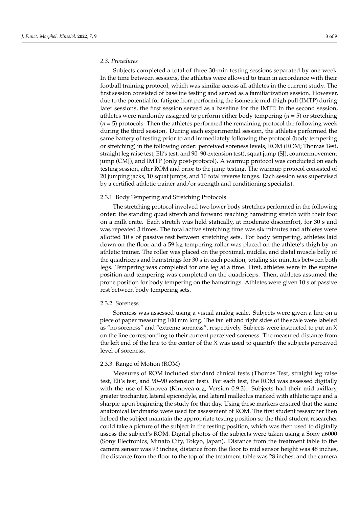Subjects completed a total of three 30-min testing sessions separated by one week. In the time between sessions, the athletes were allowed to train in accordance with their football training protocol, which was similar across all athletes in the current study. The first session consisted of baseline testing and served as a familiarization session. However, due to the potential for fatigue from performing the isometric mid-thigh pull (IMTP) during later sessions, the first session served as a baseline for the IMTP. In the second session, athletes were randomly assigned to perform either body tempering (*n* = 5) or stretching  $(n = 5)$  protocols. Then the athletes performed the remaining protocol the following week during the third session. During each experimental session, the athletes performed the same battery of testing prior to and immediately following the protocol (body tempering or stretching) in the following order: perceived soreness levels, ROM (ROM; Thomas Test, straight leg raise test, Eli's test, and 90–90 extension test), squat jump (SJ), countermovement jump (CMJ), and IMTP (only post-protocol). A warmup protocol was conducted on each testing session, after ROM and prior to the jump testing. The warmup protocol consisted of 20 jumping jacks, 10 squat jumps, and 10 total reverse lunges. Each session was supervised by a certified athletic trainer and/or strength and conditioning specialist.

#### 2.3.1. Body Tempering and Stretching Protocols

The stretching protocol involved two lower body stretches performed in the following order: the standing quad stretch and forward reaching hamstring stretch with their foot on a milk crate. Each stretch was held statically, at moderate discomfort, for 30 s and was repeated 3 times. The total active stretching time was six minutes and athletes were allotted 10 s of passive rest between stretching sets. For body tempering, athletes laid down on the floor and a 59 kg tempering roller was placed on the athlete's thigh by an athletic trainer. The roller was placed on the proximal, middle, and distal muscle belly of the quadriceps and hamstrings for 30 s in each position, totaling six minutes between both legs. Tempering was completed for one leg at a time. First, athletes were in the supine position and tempering was completed on the quadriceps. Then, athletes assumed the prone position for body tempering on the hamstrings. Athletes were given 10 s of passive rest between body tempering sets.

#### 2.3.2. Soreness

Soreness was assessed using a visual analog scale. Subjects were given a line on a piece of paper measuring 100 mm long. The far left and right sides of the scale were labeled as "no soreness" and "extreme soreness", respectively. Subjects were instructed to put an X on the line corresponding to their current perceived soreness. The measured distance from the left end of the line to the center of the X was used to quantify the subjects perceived level of soreness.

#### 2.3.3. Range of Motion (ROM)

Measures of ROM included standard clinical tests (Thomas Test, straight leg raise test, Eli's test, and 90–90 extension test). For each test, the ROM was assessed digitally with the use of Kinovea (Kinovea.org, Version 0.9.3). Subjects had their mid axillary, greater trochanter, lateral epicondyle, and lateral malleolus marked with athletic tape and a sharpie upon beginning the study for that day. Using these markers ensured that the same anatomical landmarks were used for assessment of ROM. The first student researcher then helped the subject maintain the appropriate testing position so the third student researcher could take a picture of the subject in the testing position, which was then used to digitally assess the subject's ROM. Digital photos of the subjects were taken using a Sony a6000 (Sony Electronics, Minato City, Tokyo, Japan). Distance from the treatment table to the camera sensor was 93 inches, distance from the floor to mid sensor height was 48 inches, the distance from the floor to the top of the treatment table was 28 inches, and the camera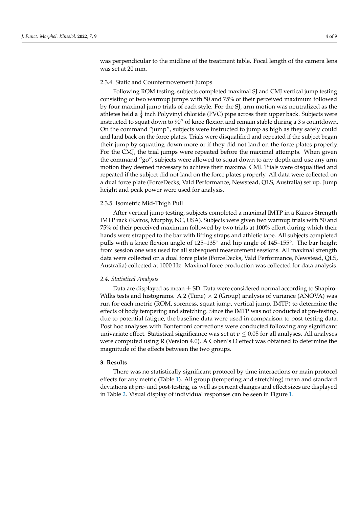was perpendicular to the midline of the treatment table. Focal length of the camera lens was set at 20 mm.

#### 2.3.4. Static and Countermovement Jumps

Following ROM testing, subjects completed maximal SJ and CMJ vertical jump testing consisting of two warmup jumps with 50 and 75% of their perceived maximum followed by four maximal jump trials of each style. For the SJ, arm motion was neutralized as the athletes held a  $\frac{1}{4}$  inch Polyvinyl chloride (PVC) pipe across their upper back. Subjects were instructed to squat down to 90◦ of knee flexion and remain stable during a 3 s countdown. On the command "jump", subjects were instructed to jump as high as they safely could and land back on the force plates. Trials were disqualified and repeated if the subject began their jump by squatting down more or if they did not land on the force plates properly. For the CMJ, the trial jumps were repeated before the maximal attempts. When given the command "go", subjects were allowed to squat down to any depth and use any arm motion they deemed necessary to achieve their maximal CMJ. Trials were disqualified and repeated if the subject did not land on the force plates properly. All data were collected on a dual force plate (ForceDecks, Vald Performance, Newstead, QLS, Australia) set up. Jump height and peak power were used for analysis.

#### 2.3.5. Isometric Mid-Thigh Pull

After vertical jump testing, subjects completed a maximal IMTP in a Kairos Strength IMTP rack (Kairos, Murphy, NC, USA). Subjects were given two warmup trials with 50 and 75% of their perceived maximum followed by two trials at 100% effort during which their hands were strapped to the bar with lifting straps and athletic tape. All subjects completed pulls with a knee flexion angle of 125–135◦ and hip angle of 145–155◦ . The bar height from session one was used for all subsequent measurement sessions. All maximal strength data were collected on a dual force plate (ForceDecks, Vald Performance, Newstead, QLS, Australia) collected at 1000 Hz. Maximal force production was collected for data analysis.

#### *2.4. Statistical Analysis*

Data are displayed as mean  $\pm$  SD. Data were considered normal according to Shapiro– Wilks tests and histograms. A 2 (Time)  $\times$  2 (Group) analysis of variance (ANOVA) was run for each metric (ROM, soreness, squat jump, vertical jump, IMTP) to determine the effects of body tempering and stretching. Since the IMTP was not conducted at pre-testing, due to potential fatigue, the baseline data were used in comparison to post-testing data. Post hoc analyses with Bonferroni corrections were conducted following any significant univariate effect. Statistical significance was set at  $p \leq 0.05$  for all analyses. All analyses were computed using R (Version 4.0). A Cohen's D effect was obtained to determine the magnitude of the effects between the two groups.

#### **3. Results**

There was no statistically significant protocol by time interactions or main protocol effects for any metric (Table [1\)](#page-6-0). All group (tempering and stretching) mean and standard deviations at pre- and post-testing, as well as percent changes and effect sizes are displayed in Table [2.](#page-6-1) Visual display of individual responses can be seen in Figure [1.](#page-7-0)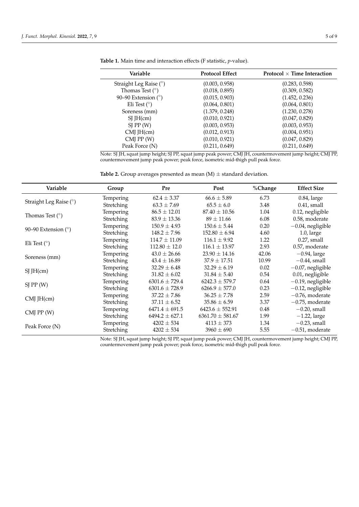$\overline{\phantom{0}}$ 

| Variable                 | <b>Protocol Effect</b> | Protocol $\times$ Time Interaction |
|--------------------------|------------------------|------------------------------------|
| Straight Leg Raise $(°)$ | (0.003, 0.958)         | (0.283, 0.598)                     |
| Thomas Test $(°)$        | (0.018, 0.895)         | (0.309, 0.582)                     |
| 90–90 Extension $(°)$    | (0.015, 0.903)         | (1.452, 0.236)                     |
| Eli Test $(^\circ)$      | (0.064, 0.801)         | (0.064, 0.801)                     |
| Soreness (mm)            | (1.379, 0.248)         | (1.230, 0.278)                     |
| $SI$ JH $(cm)$           | (0.010, 0.921)         | (0.047, 0.829)                     |
| SI PP(W)                 | (0.003, 0.953)         | (0.003, 0.953)                     |
| $CMJ$ JH $(cm)$          | (0.012, 0.913)         | (0.004, 0.951)                     |
| $CMJ$ PP $(W)$           | (0.010, 0.921)         | (0.047, 0.829)                     |
| Peak Force (N)           | (0.211, 0.649)         | (0.211, 0.649)                     |

<span id="page-6-0"></span>**Table 1.** Main time and interaction effects (F statistic, *p*-value).

Note: SJ JH, squat jump height; SJ PP, squat jump peak power; CMJ JH, countermovement jump height; CMJ PP, countermovement jump peak power; peak force, isometric mid-thigh pull peak force.

<span id="page-6-1"></span>**Table 2.** Group averages presented as mean  $(M) \pm$  standard deviation.

| Variable               | Group      | Pre                | Post                 | %Change | <b>Effect Size</b>   |
|------------------------|------------|--------------------|----------------------|---------|----------------------|
| Straight Leg Raise (°) | Tempering  | $62.4 \pm 3.37$    | $66.6 \pm 5.89$      | 6.73    | $0.84$ , large       |
|                        | Stretching | $63.3 \pm 7.69$    | $65.5 \pm 6.0$       | 3.48    | $0.41$ , small       |
| Thomas Test $(°)$      | Tempering  | $86.5 \pm 12.01$   | $87.40 \pm 10.56$    | 1.04    | 0.12, negligible     |
|                        | Stretching | $83.9 \pm 13.36$   | $89 \pm 11.66$       | 6.08    | 0.58, moderate       |
| 90–90 Extension $(°)$  | Tempering  | $150.9 \pm 4.93$   | $150.6 \pm 5.44$     | 0.20    | $-0.04$ , negligible |
|                        | Stretching | $148.2 \pm 7.96$   | $152.80 \pm 6.94$    | 4.60    | $1.0$ , large        |
| Eli Test $(^\circ)$    | Tempering  | $114.7 \pm 11.09$  | $116.1 \pm 9.92$     | 1.22    | $0.27$ , small       |
|                        | Stretching | $112.80 \pm 12.0$  | $116.1 \pm 13.97$    | 2.93    | 0.57, moderate       |
| Soreness (mm)          | Tempering  | $43.0 \pm 26.66$   | $23.90 \pm 14.16$    | 42.06   | $-0.94$ , large      |
|                        | Stretching | $43.4 \pm 16.89$   | $37.9 + 17.51$       | 10.99   | $-0.44$ , small      |
| $SI$ JH $(cm)$         | Tempering  | $32.29 \pm 6.48$   | $32.29 \pm 6.19$     | 0.02    | $-0.07$ , negligible |
|                        | Stretching | $31.82 \pm 6.02$   | $31.84 \pm 5.40$     | 0.54    | 0.01, negligible     |
| SI PP(W)               | Tempering  | $6301.6 \pm 729.4$ | $6242.3 \pm 579.7$   | 0.64    | $-0.19$ , negligible |
|                        | Stretching | $6301.6 \pm 728.9$ | $6266.9 \pm 577.0$   | 0.23    | $-0.12$ , negligible |
| $CMJ$ JH $(cm)$        | Tempering  | $37.22 \pm 7.86$   | $36.25 \pm 7.78$     | 2.59    | $-0.76$ , moderate   |
|                        | Stretching | $37.11 \pm 6.52$   | $35.86 \pm 6.59$     | 3.37    | $-0.75$ , moderate   |
| $CMJ$ PP $(W)$         | Tempering  | $6471.4 \pm 691.5$ | $6423.6 \pm 552.91$  | 0.48    | $-0.20$ , small      |
|                        | Stretching | $6494.2 \pm 627.1$ | $6361.70 \pm 581.67$ | 1.99    | $-1.22$ , large      |
| Peak Force (N)         | Tempering  | $4202 \pm 534$     | $4113 \pm 373$       | 1.34    | $-0.23$ , small      |
|                        | Stretching | $4202 \pm 534$     | $3960 \pm 690$       | 5.55    | $-0.51$ , moderate   |

Note: SJ JH, squat jump height; SJ PP, squat jump peak power; CMJ JH, countermovement jump height; CMJ PP, countermovement jump peak power; peak force, isometric mid-thigh pull peak force.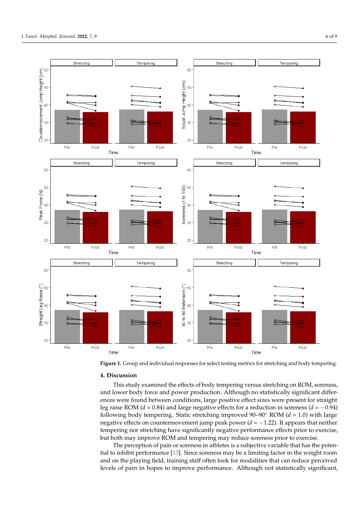<span id="page-7-0"></span>

**Figure 1.** Group and individual responses for select testing metrics for stretching and body tempering. **Figure 1.** Group and individual responses for select testing metrics for stretching and body tempering.

## **4. Discussion 4. Discussion**

This study examined the effects of body tempering versus stretching on ROM, sore-and lower body force and power production. Although no statistically significant differand lower body force and power production. Although no statistically significant differences were found between conditions, large positive effect sizes were present for straight differences were found between conditions, large positive effect sizes were present for leg raise ROM (*d* = 0.84) and large negative effects for a reduction in soreness (*d* = −0.94) following body tempering. Static stretching improved  $90-90°$  ROM ( $d = 1.0$ ) with large following body tempering. Static stretching improved  $90-90°$  ROM ( $d = 1.0$ ) with large −0.94) following body tempering. Static stretching improved 90–90° ROM (*d* = 1.0) with negative effects on countermovement jump peak power (*d* = −1.22). It appears that neither large negative effects on countermovement jump peak power (*d* = −1.22). It appears that tempering nor stretching have significantly negative performance effects prior to exercise, eithering for stretching have significantly negative performance effects prior to exercise.<br>but both may improve ROM and tempering may reduce soreness prior to exercise. This study examined the effects of body tempering versus stretching on ROM, soreness,

The perception of pain or soreness in athletes is a subjective variable that has the poten-tial to inhibit performance [\[13\]](#page-10-6). Since soreness may be a limiting factor in the weight room and on the playing field, training staff often look for modalities that can reduce perceived levels of pain in hopes to improve performance. Although not statistically significant,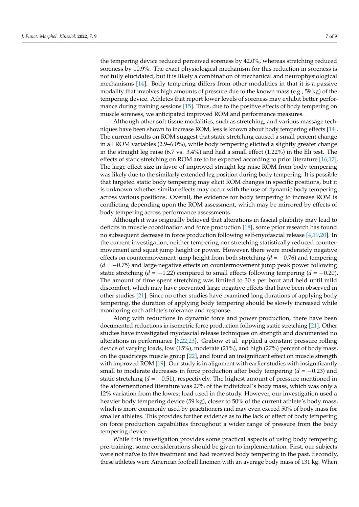the tempering device reduced perceived soreness by 42.0%, whereas stretching reduced soreness by 10.9%. The exact physiological mechanism for this reduction in soreness is not fully elucidated, but it is likely a combination of mechanical and neurophysiological mechanisms [\[14\]](#page-10-7). Body tempering differs from other modalities in that it is a passive modality that involves high amounts of pressure due to the known mass (e.g., 59 kg) of the tempering device. Athletes that report lower levels of soreness may exhibit better performance during training sessions [\[15\]](#page-10-8). Thus, due to the positive effects of body tempering on muscle soreness, we anticipated improved ROM and performance measures.

Although other soft tissue modalities, such as stretching, and various massage techniques have been shown to increase ROM, less is known about body tempering effects [\[14\]](#page-10-7). The current results on ROM suggest that static stretching caused a small percent change in all ROM variables (2.9–6.0%), while body tempering elicited a slightly greater change in the straight leg raise (6.7 vs. 3.4%) and had a small effect (1.22%) in the Eli test. The effects of static stretching on ROM are to be expected according to prior literature [\[16,](#page-10-9)[17\]](#page-10-10). The large effect size in favor of improved straight leg raise ROM from body tempering was likely due to the similarly extended leg position during body tempering. It is possible that targeted static body tempering may elicit ROM changes in specific positions, but it is unknown whether similar effects may occur with the use of dynamic body tempering across various positions. Overall, the evidence for body tempering to increase ROM is conflicting depending upon the ROM assessment, which may be mirrored by effects of body tempering across performance assessments.

Although it was originally believed that alterations in fascial pliability may lead to deficits in muscle coordination and force production [\[18\]](#page-10-11), some prior research has found no subsequent decrease in force production following self-myofascial release [\[4,](#page-9-3)[19,](#page-10-12)[20\]](#page-10-13). In the current investigation, neither tempering nor stretching statistically reduced countermovement and squat jump height or power. However, there were moderately negative effects on countermovement jump height from both stretching (*d* = −0.76) and tempering (*d* = −0.75) and large negative effects on countermovement jump peak power following static stretching ( $d = -1.22$ ) compared to small effects following tempering ( $d = -0.20$ ). The amount of time spent stretching was limited to 30 s per bout and held until mild discomfort, which may have prevented large negative effects that have been observed in other studies [\[21\]](#page-10-14). Since no other studies have examined long durations of applying body tempering, the duration of applying body tempering should be slowly increased while monitoring each athlete's tolerance and response.

Along with reductions in dynamic force and power production, there have been documented reductions in isometric force production following static stretching [\[21\]](#page-10-14). Other studies have investigated myofascial release techniques on strength and documented no alterations in performance [\[6](#page-9-5)[,22](#page-10-15)[,23\]](#page-10-16). Grabow et al. applied a constant pressure rolling device of varying loads, low (15%), moderate (21%), and high (27%) percent of body mass, on the quadriceps muscle group [\[22\]](#page-10-15), and found an insignificant effect on muscle strength with improved ROM [\[19\]](#page-10-12). Our study is in alignment with earlier studies with insignificantly small to moderate decreases in force production after body tempering  $(d = -0.23)$  and static stretching  $(d = -0.51)$ , respectively. The highest amount of pressure mentioned in the aforementioned literature was 27% of the individual's body mass, which was only a 12% variation from the lowest load used in the study. However, our investigation used a heavier body tempering device (59 kg), closer to 50% of the current athlete's body mass, which is more commonly used by practitioners and may even exceed 50% of body mass for smaller athletes. This provides further evidence as to the lack of effect of body tempering on force production capabilities throughout a wider range of pressure from the body tempering device.

While this investigation provides some practical aspects of using body tempering pre-training, some considerations should be given to implementation. First, our subjects were not naïve to this treatment and had received body tempering in the past. Secondly, these athletes were American football linemen with an average body mass of 131 kg. When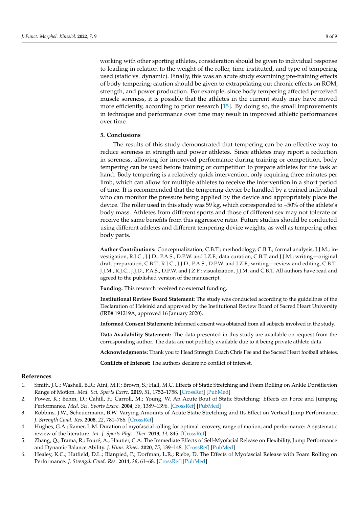working with other sporting athletes, consideration should be given to individual response to loading in relation to the weight of the roller, time instituted, and type of tempering used (static vs. dynamic). Finally, this was an acute study examining pre-training effects of body tempering; caution should be given to extrapolating out chronic effects on ROM, strength, and power production. For example, since body tempering affected perceived muscle soreness, it is possible that the athletes in the current study may have moved more efficiently, according to prior research [\[15\]](#page-10-8). By doing so, the small improvements in technique and performance over time may result in improved athletic performances over time.

#### **5. Conclusions**

The results of this study demonstrated that tempering can be an effective way to reduce soreness in strength and power athletes. Since athletes may report a reduction in soreness, allowing for improved performance during training or competition, body tempering can be used before training or competition to prepare athletes for the task at hand. Body tempering is a relatively quick intervention, only requiring three minutes per limb, which can allow for multiple athletes to receive the intervention in a short period of time. It is recommended that the tempering device be handled by a trained individual who can monitor the pressure being applied by the device and appropriately place the device. The roller used in this study was 59 kg, which corresponded to ~50% of the athlete's body mass. Athletes from different sports and those of different sex may not tolerate or receive the same benefits from this aggressive ratio. Future studies should be conducted using different athletes and different tempering device weights, as well as tempering other body parts.

**Author Contributions:** Conceptualization, C.B.T.; methodology, C.B.T.; formal analysis, J.J.M.; investigation, R.J.C., J.J.D., P.A.S., D.P.W. and J.Z.F.; data curation, C.B.T. and J.J.M.; writing—original draft preparation, C.B.T., R.J.C., J.J.D., P.A.S., D.P.W. and J.Z.F.; writing—review and editing, C.B.T., J.J.M., R.J.C., J.J.D., P.A.S., D.P.W. and J.Z.F.; visualization, J.J.M. and C.B.T. All authors have read and agreed to the published version of the manuscript.

**Funding:** This research received no external funding.

**Institutional Review Board Statement:** The study was conducted according to the guidelines of the Declaration of Helsinki and approved by the Institutional Review Board of Sacred Heart University (IRB# 191219A, approved 16 January 2020).

**Informed Consent Statement:** Informed consent was obtained from all subjects involved in the study.

**Data Availability Statement:** The data presented in this study are available on request from the corresponding author. The data are not publicly available due to it being private athlete data.

**Acknowledgments:** Thank you to Head Strength Coach Chris Fee and the Sacred Heart football athletes.

**Conflicts of Interest:** The authors declare no conflict of interest.

#### **References**

- <span id="page-9-0"></span>1. Smith, J.C.; Washell, B.R.; Aini, M.F.; Brown, S.; Hall, M.C. Effects of Static Stretching and Foam Rolling on Ankle Dorsiflexion Range of Motion. *Med. Sci. Sports Exerc.* **2019**, *51*, 1752–1758. [\[CrossRef\]](http://doi.org/10.1249/MSS.0000000000001964) [\[PubMed\]](http://www.ncbi.nlm.nih.gov/pubmed/30817716)
- <span id="page-9-1"></span>2. Power, K.; Behm, D.; Cahill, F.; Carroll, M.; Young, W. An Acute Bout of Static Stretching: Effects on Force and Jumping Performance. *Med. Sci. Sports Exerc.* **2004**, *36*, 1389–1396. [\[CrossRef\]](http://doi.org/10.1249/01.MSS.0000135775.51937.53) [\[PubMed\]](http://www.ncbi.nlm.nih.gov/pubmed/15292748)
- <span id="page-9-2"></span>3. Robbins, J.W.; Scheuermann, B.W. Varying Amounts of Acute Static Stretching and Its Effect on Vertical Jump Performance. *J. Strength Cond. Res.* **2008**, *22*, 781–786. [\[CrossRef\]](http://doi.org/10.1519/JSC.0b013e31816a59a9)
- <span id="page-9-3"></span>4. Hughes, G.A.; Ramer, L.M. Duration of myofascial rolling for optimal recovery, range of motion, and performance: A systematic review of the literature. *Int. J. Sports Phys. Ther.* **2019**, *14*, 845. [\[CrossRef\]](http://doi.org/10.26603/ijspt20190845)
- <span id="page-9-4"></span>5. Zhang, Q.; Trama, R.; Fouré, A.; Hautier, C.A. The Immediate Effects of Self-Myofacial Release on Flexibility, Jump Performance and Dynamic Balance Ability. *J. Hum. Kinet.* **2020**, *75*, 139–148. [\[CrossRef\]](http://doi.org/10.2478/hukin-2020-0043) [\[PubMed\]](http://www.ncbi.nlm.nih.gov/pubmed/33312302)
- <span id="page-9-5"></span>6. Healey, K.C.; Hatfield, D.L.; Blanpied, P.; Dorfman, L.R.; Riebe, D. The Effects of Myofascial Release with Foam Rolling on Performance. *J. Strength Cond. Res.* **2014**, *28*, 61–68. [\[CrossRef\]](http://doi.org/10.1519/JSC.0b013e3182956569) [\[PubMed\]](http://www.ncbi.nlm.nih.gov/pubmed/23588488)